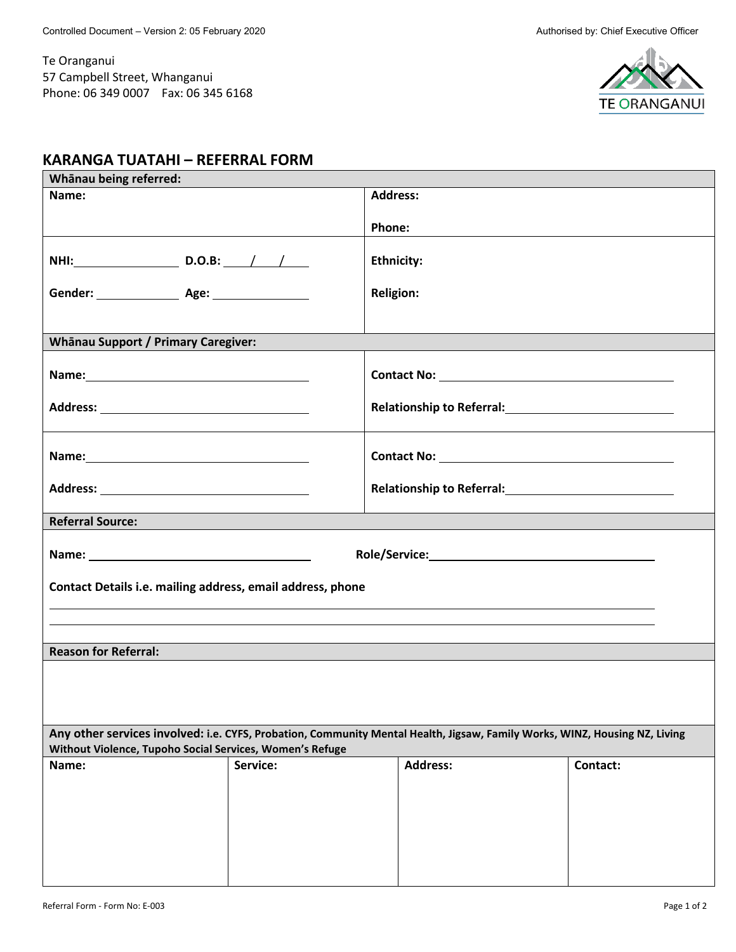Te Oranganui 57 Campbell Street, Whanganui Phone: 06 349 0007 Fax: 06 345 6168



## **KARANGA TUATAHI – REFERRAL FORM**

| Whānau being referred:                                                                                                     |          |                   |          |  |  |  |  |  |  |  |
|----------------------------------------------------------------------------------------------------------------------------|----------|-------------------|----------|--|--|--|--|--|--|--|
| Name:                                                                                                                      |          | <b>Address:</b>   |          |  |  |  |  |  |  |  |
|                                                                                                                            |          | Phone:            |          |  |  |  |  |  |  |  |
|                                                                                                                            |          |                   |          |  |  |  |  |  |  |  |
| NHI: D.O.B: / /                                                                                                            |          | <b>Ethnicity:</b> |          |  |  |  |  |  |  |  |
|                                                                                                                            |          | <b>Religion:</b>  |          |  |  |  |  |  |  |  |
| <b>Whānau Support / Primary Caregiver:</b>                                                                                 |          |                   |          |  |  |  |  |  |  |  |
|                                                                                                                            |          |                   |          |  |  |  |  |  |  |  |
|                                                                                                                            |          |                   |          |  |  |  |  |  |  |  |
|                                                                                                                            |          |                   |          |  |  |  |  |  |  |  |
|                                                                                                                            |          |                   |          |  |  |  |  |  |  |  |
| <b>Referral Source:</b>                                                                                                    |          |                   |          |  |  |  |  |  |  |  |
|                                                                                                                            |          |                   |          |  |  |  |  |  |  |  |
| Contact Details i.e. mailing address, email address, phone                                                                 |          |                   |          |  |  |  |  |  |  |  |
|                                                                                                                            |          |                   |          |  |  |  |  |  |  |  |
| <b>Reason for Referral:</b>                                                                                                |          |                   |          |  |  |  |  |  |  |  |
|                                                                                                                            |          |                   |          |  |  |  |  |  |  |  |
|                                                                                                                            |          |                   |          |  |  |  |  |  |  |  |
|                                                                                                                            |          |                   |          |  |  |  |  |  |  |  |
| Any other services involved: i.e. CYFS, Probation, Community Mental Health, Jigsaw, Family Works, WINZ, Housing NZ, Living |          |                   |          |  |  |  |  |  |  |  |
| Without Violence, Tupoho Social Services, Women's Refuge                                                                   |          |                   |          |  |  |  |  |  |  |  |
| Name:                                                                                                                      | Service: | <b>Address:</b>   | Contact: |  |  |  |  |  |  |  |
|                                                                                                                            |          |                   |          |  |  |  |  |  |  |  |
|                                                                                                                            |          |                   |          |  |  |  |  |  |  |  |
|                                                                                                                            |          |                   |          |  |  |  |  |  |  |  |
|                                                                                                                            |          |                   |          |  |  |  |  |  |  |  |
|                                                                                                                            |          |                   |          |  |  |  |  |  |  |  |
|                                                                                                                            |          |                   |          |  |  |  |  |  |  |  |